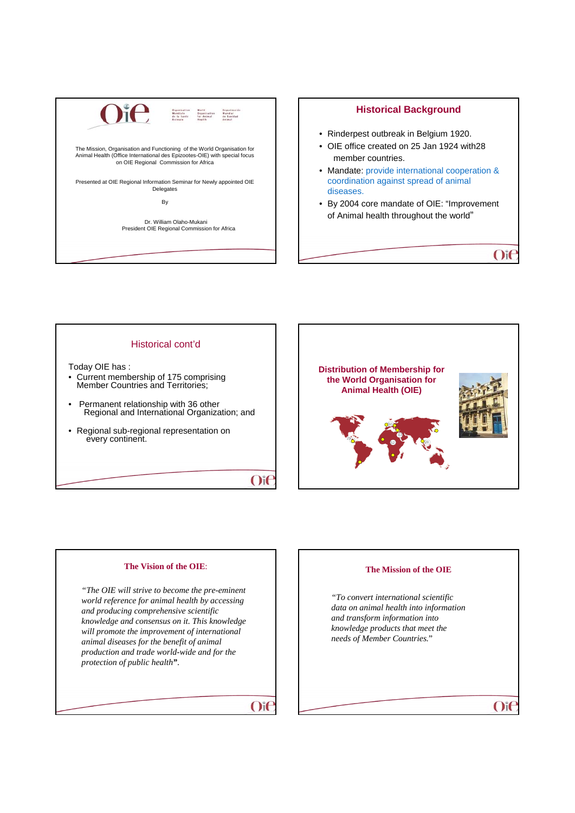

# **Historical Background**

- Rinderpest outbreak in Belgium 1920.
- OIE office created on 25 Jan 1924 with28 member countries.
- Mandate: provide international cooperation & coordination against spread of animal diseases.
- By 2004 core mandate of OIE: "Improvement of Animal health throughout the world"

 $O$ if

 $O$ i $\epsilon$ 

### Historical cont'd

- Today OIE has :<br>• Current membership of 175 comprising **Member Countries and Territories;**
- Permanent relationship with 36 other Regional and International Organization; and
- Regional sub-regional representation on every continent.





### **The Vision of the OIE**:

*"The OIE will strive to become the pre-eminent world reference for animal health by accessing and producing comprehensive scientific knowledge and consensus on it. This knowledge will promote the improvement of international animal diseases for the benefit of animal production and trade world-wide and for the protection of public health"*.

 $O$ i $\epsilon$ 

### **The Mission of the OIE**

*"To convert international scientific data on animal health into information and transform information into knowledge products that meet the needs of Member Countries.*"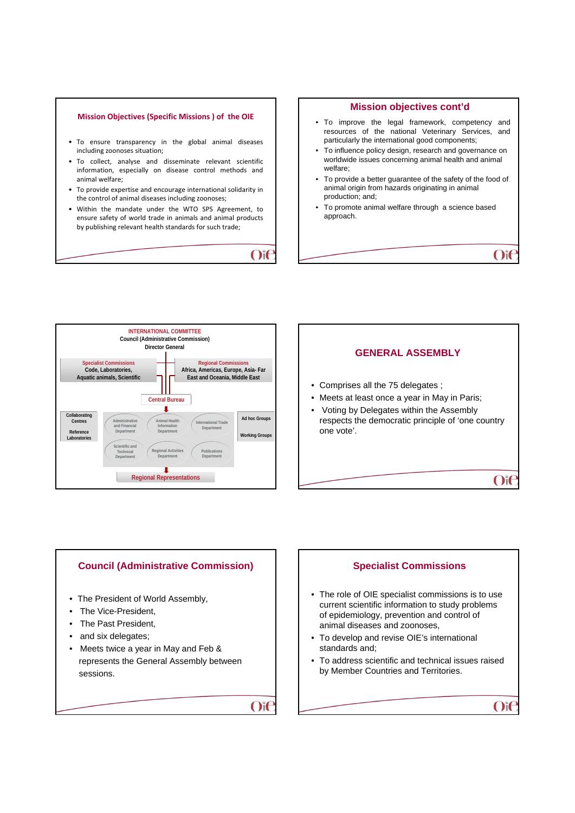







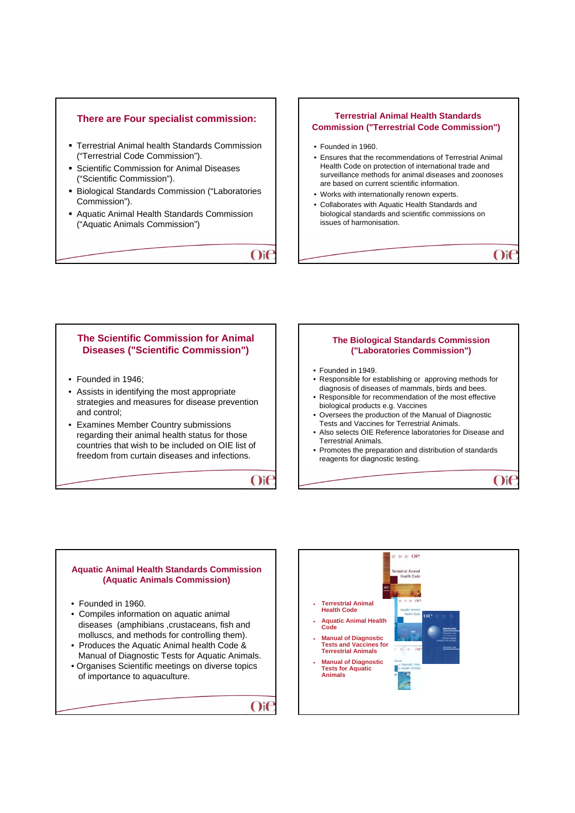# **There are Four specialist commission:**

- Terrestrial Animal health Standards Commission ("Terrestrial Code Commission").
- Scientific Commission for Animal Diseases ("Scientific Commission").
- Biological Standards Commission ("Laboratories Commission").
- Aquatic Animal Health Standards Commission ("Aquatic Animals Commission")

 $O$ if

# **Terrestrial Animal Health Standards Commission ("Terrestrial Code Commission")**

- Founded in 1960.
- Ensures that the recommendations of Terrestrial Animal Health Code on protection of international trade and surveillance methods for animal diseases and zoonoses are based on current scientific information.
- Works with internationally renown experts.
- Collaborates with Aquatic Health Standards and biological standards and scientific commissions on issues of harmonisation.

# **The Scientific Commission for Animal Diseases ("Scientific Commission")**

- Founded in 1946;
- Assists in identifying the most appropriate strategies and measures for disease prevention and control;
- Examines Member Country submissions regarding their animal health status for those countries that wish to be included on OIE list of freedom from curtain diseases and infections.



 $O$ i $\epsilon$ 

### **The Biological Standards Commission ("Laboratories Commission")**

 $O$ if

 $O$ it

- Founded in 1949.
- Responsible for establishing or approving methods for diagnosis of diseases of mammals, birds and bees.
- Responsible for recommendation of the most effective biological products e.g. Vaccines
- Oversees the production of the Manual of Diagnostic Tests and Vaccines for Terrestrial Animals.
- Also selects OIE Reference laboratories for Disease and Terrestrial Animals.
- Promotes the preparation and distribution of standards reagents for diagnostic testing.

# **Aquatic Animal Health Standards Commission (Aquatic Animals Commission)**  • Founded in 1960. • Compiles information on aquatic animal diseases (amphibians , crustaceans, fish and molluscs, and methods for controlling them). • Produces the Aquatic Animal health Code & Manual of Diagnostic Tests for Aquatic Animals. • Organises Scientific meetings on diverse topics of importance to aquaculture.

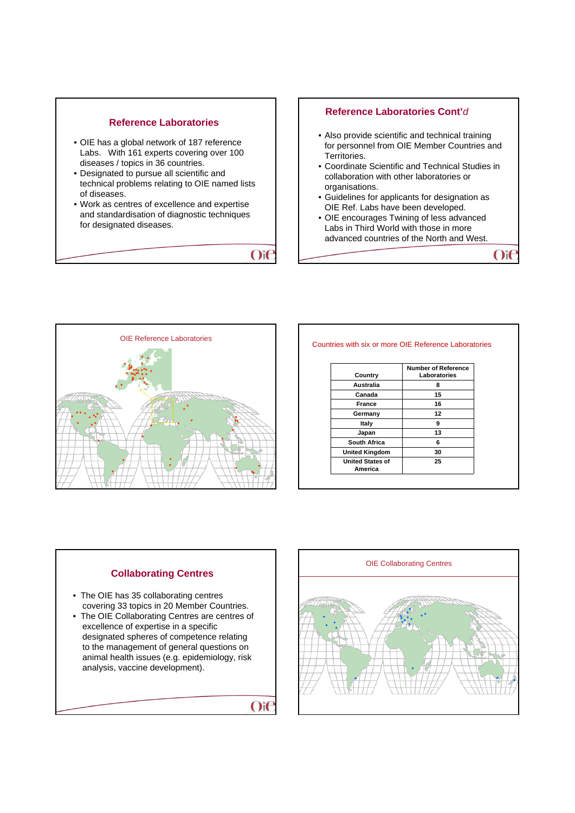

 $O$ i $\epsilon$ 

 $O$ i $\epsilon$ 

# **Reference Laboratories Cont'***d*

- Also provide scientific and technical training for personnel from OIE Member Countries and Territories.
- Coordinate Scientific and Technical Studies in collaboration with other laboratories or organisations.
- Guidelines for applicants for designation as OIE Ref. Labs have been developed.
- OIE encourages Twining of less advanced Labs in Third World with those in more advanced countries of the North and West.

 $O$ if



#### Countries with six or more OIE Reference Laboratories

|                                    | <b>Number of Reference</b> |
|------------------------------------|----------------------------|
| Country                            | Laboratories               |
| Australia                          | 8                          |
| Canada                             | 15                         |
| <b>France</b>                      | 16                         |
| Germany                            | 12                         |
| Italy                              | 9                          |
| Japan                              | 13                         |
| South Africa                       | 6                          |
| <b>United Kingdom</b>              | 30                         |
| <b>United States of</b><br>America | 25                         |

# **Collaborating Centres**

- The OIE has 35 collaborating centres covering 33 topics in 20 Member Countries.
- The OIE Collaborating Centres are centres of excellence of expertise in a specific designated spheres of competence relating to the management of general questions on animal health issues (e.g. epidemiology, risk analysis, vaccine development).

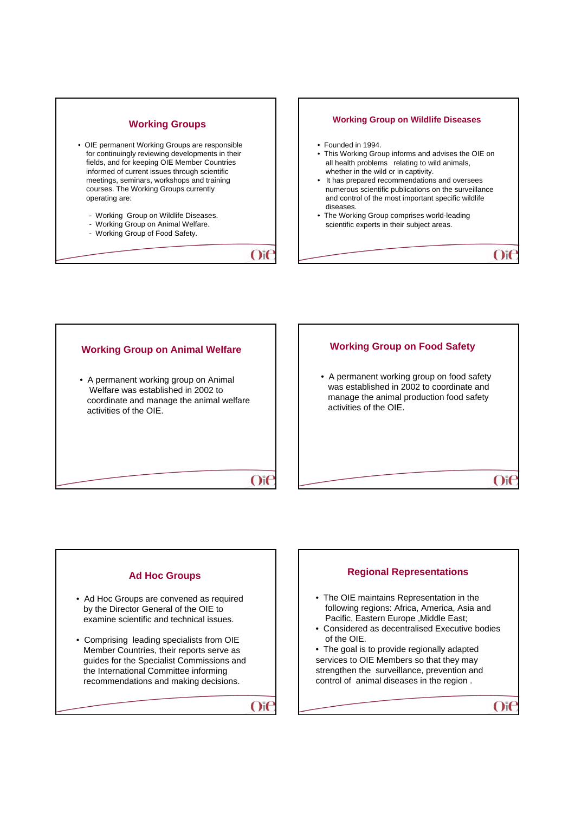





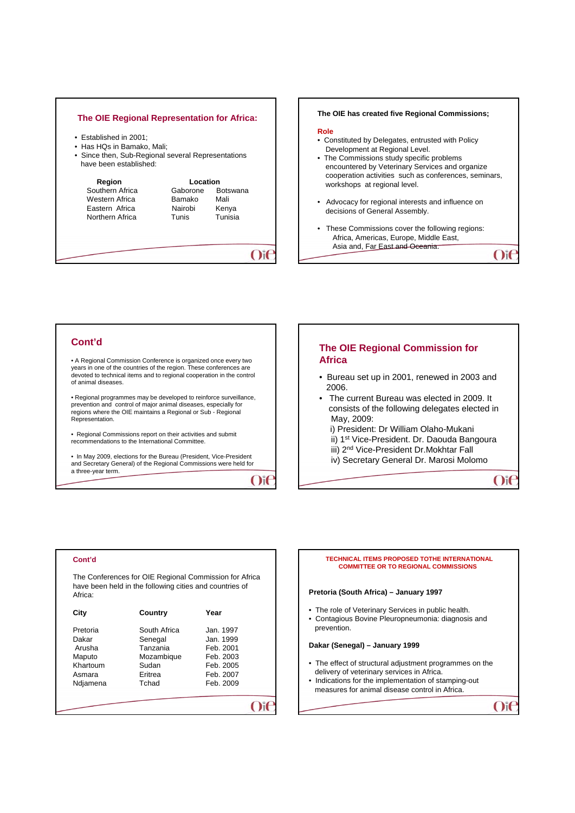### **The OIE Regional Representation for Africa:**

- Established in 2001;
- Has HQs in Bamako, Mali;
- Since then, Sub-Regional several Representations have been established:

| Region                                                                 | Location                               |                                             |
|------------------------------------------------------------------------|----------------------------------------|---------------------------------------------|
| Southern Africa<br>Western Africa<br>Eastern Africa<br>Northern Africa | Gaborone<br>Bamako<br>Nairobi<br>Tunis | <b>Botswana</b><br>Mali<br>Kenya<br>Tunisia |
|                                                                        |                                        |                                             |

### **The OIE has created five Regional Commissions;**

#### **Role**

- Constituted by Delegates, entrusted with Policy Development at Regional Level.
- The Commissions study specific problems encountered by Veterinary Services and organize cooperation activities such as conferences, seminars, workshops at regional level.
- Advocacy for regional interests and influence on decisions of General Assembly.
- These Commissions cover the following regions: Africa, Americas, Europe, Middle East, Asia and, Far East and Oceania.  $O$ if

**Cont'd**

• A Regional Commission Conference is organized once every two years in one of the countries of the region. These conferences are devoted to technical items and to regional cooperation in the control of animal diseases.

• Regional programmes may be developed to reinforce surveillance, prevention and control of major animal diseases, especially for regions where the OIE maintains a Regional or Sub - Regional Representation.

• Regional Commissions report on their activities and submit recommendations to the International Committee.

• In May 2009, elections for the Bureau (President, Vice-President, and Secretary General) of the Regional Commissions were held for a three-year term.

 $O$ it

# **The OIE Regional Commission for Africa**

- Bureau set up in 2001, renewed in 2003 and 2006.
- The current Bureau was elected in 2009. It consists of the following delegates elected in May, 2009:
- i) President: Dr William Olaho-Mukani
- ii) 1st Vice-President. Dr. Daouda Bangoura
- iii) 2nd Vice-President Dr.Mokhtar Fall
- iv) Secretary General Dr. Marosi Molomo

### **Cont'd**

The Conferences for OIE Regional Commission for Africa have been held in the following cities and countries of Africa:

| City                                                        | Country                                                               | Year                                                                       |
|-------------------------------------------------------------|-----------------------------------------------------------------------|----------------------------------------------------------------------------|
| Pretoria<br>Dakar<br>Arusha<br>Maputo<br>Khartoum<br>Asmara | South Africa<br>Senegal<br>Tanzania<br>Mozambique<br>Sudan<br>Eritrea | Jan. 1997<br>Jan. 1999<br>Feb. 2001<br>Feb. 2003<br>Feb. 2005<br>Feb. 2007 |
| Ndjamena                                                    | Tchad                                                                 | Feb. 2009                                                                  |

#### **TECHNICAL ITEMS PROPOSED TOTHE INTERNATIONAL COMMITTEE OR TO REGIONAL COMMISSIONS**

#### **Pretoria (South Africa) – January 1997**

- The role of Veterinary Services in public health.
- Contagious Bovine Pleuropneumonia: diagnosis and prevention.

#### **Dakar (Senegal) – January 1999**

- The effect of structural adjustment programmes on the delivery of veterinary services in Africa.
- Indications for the implementation of stamping-out measures for animal disease control in Africa.

 $O$ if

 $O$ it